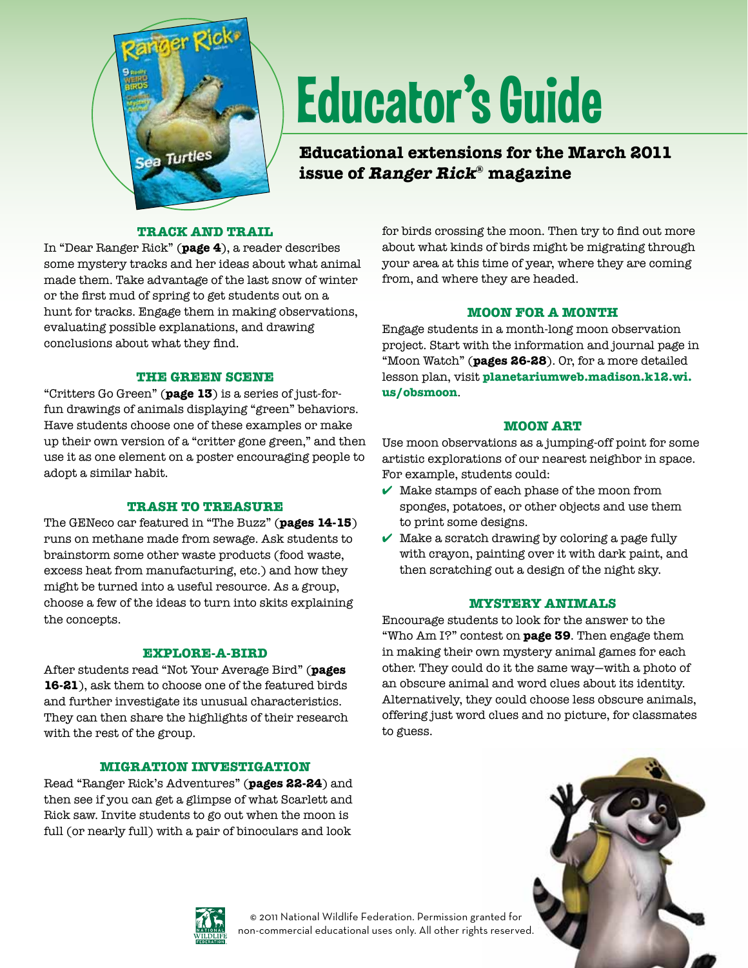

# Educator's Guide

**Educational extensions for the March 2011 issue of Ranger Rick® magazine**

# **Track and Trail**

In "Dear Ranger Rick" (**page 4**), a reader describes some mystery tracks and her ideas about what animal made them. Take advantage of the last snow of winter or the first mud of spring to get students out on a hunt for tracks. Engage them in making observations, evaluating possible explanations, and drawing conclusions about what they find.

## **The Green Scene**

"Critters Go Green" (**page 13**) is a series of just-forfun drawings of animals displaying "green" behaviors. Have students choose one of these examples or make up their own version of a "critter gone green," and then use it as one element on a poster encouraging people to adopt a similar habit.

#### **Trash to Treasure**

The GENeco car featured in "The Buzz" (**pages 14-15**) runs on methane made from sewage. Ask students to brainstorm some other waste products (food waste, excess heat from manufacturing, etc.) and how they might be turned into a useful resource. As a group, choose a few of the ideas to turn into skits explaining the concepts.

## **Explore-a-Bird**

After students read "Not Your Average Bird" (**pages 16-21**), ask them to choose one of the featured birds and further investigate its unusual characteristics. They can then share the highlights of their research with the rest of the group.

## **Migration Investigation**

Read "Ranger Rick's Adventures" (**pages 22-24**) and then see if you can get a glimpse of what Scarlett and Rick saw. Invite students to go out when the moon is full (or nearly full) with a pair of binoculars and look

for birds crossing the moon. Then try to find out more about what kinds of birds might be migrating through your area at this time of year, where they are coming from, and where they are headed.

## **Moon for a Month**

Engage students in a month-long moon observation project. Start with the information and journal page in "Moon Watch" (**pages 26-28**). Or, for a more detailed lesson plan, visit **[planetariumweb.madison.k12.wi.](http://planetariumweb.madison.k12.wi.us/obsmoon)  us/obsmoon**.

## **Moon Art**

Use moon observations as a jumping-off point for some artistic explorations of our nearest neighbor in space. For example, students could:

- $\checkmark$  Make stamps of each phase of the moon from sponges, potatoes, or other objects and use them to print some designs.
- $\checkmark$  Make a scratch drawing by coloring a page fully with crayon, painting over it with dark paint, and then scratching out a design of the night sky.

#### **Mystery Animals**

Encourage students to look for the answer to the "Who Am I?" contest on **page 39**. Then engage them in making their own mystery animal games for each other. They could do it the same way—with a photo of an obscure animal and word clues about its identity. Alternatively, they could choose less obscure animals, offering just word clues and no picture, for classmates to guess.



© 2011 National Wildlife Federation. Permission granted for non-commercial educational uses only. All other rights reserved.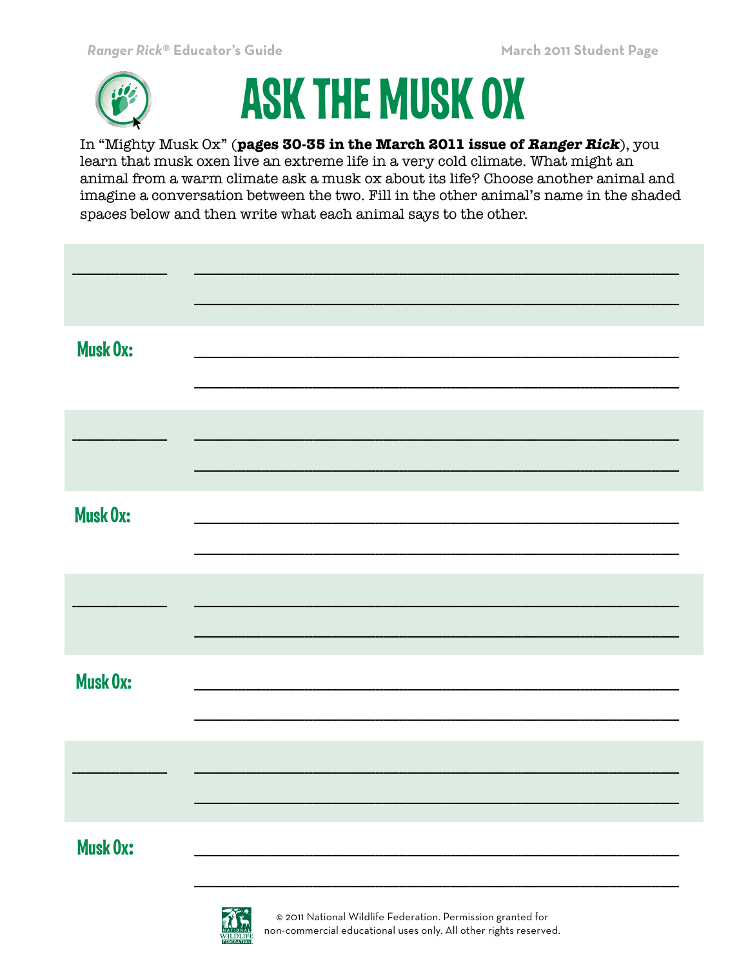



In "Mighty Musk Ox" (pages 30-35 in the March 2011 issue of Ranger Rick), you learn that musk oxen live an extreme life in a very cold climate. What might an animal from a warm climate ask a musk ox about its life? Choose another animal and imagine a conversation between the two. Fill in the other animal's name in the shaded spaces below and then write what each animal says to the other.

| <b>Musk Ox:</b> |  |
|-----------------|--|
|                 |  |
| <b>Musk Ox:</b> |  |
|                 |  |
| <b>Musk Ox:</b> |  |
|                 |  |
| <b>Musk Ox:</b> |  |